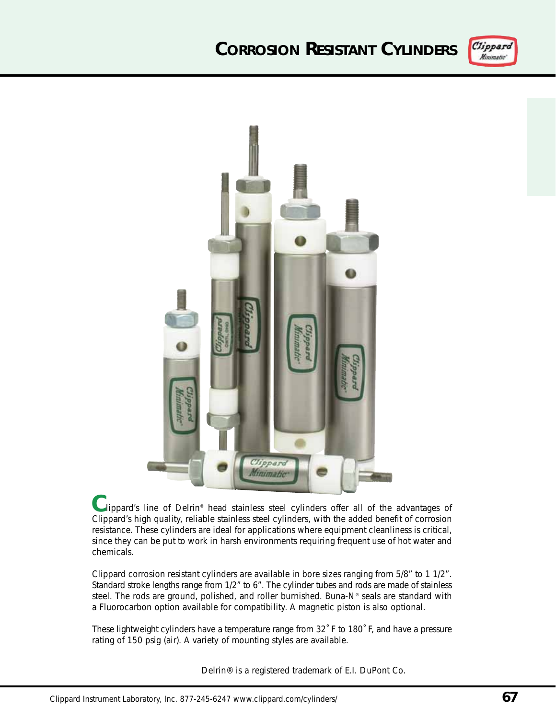## **CORROSION RESISTANT CYLINDERS**





lippard's line of Delrin® head stainless steel cylinders offer all of the advantages of **C** Clippard's high quality, reliable stainless steel cylinders, with the added benefit of corrosion resistance. These cylinders are ideal for applications where equipment cleanliness is critical, since they can be put to work in harsh environments requiring frequent use of hot water and chemicals.

Clippard corrosion resistant cylinders are available in bore sizes ranging from 5/8" to 1 1/2". Standard stroke lengths range from 1/2" to 6". The cylinder tubes and rods are made of stainless steel. The rods are ground, polished, and roller burnished. Buna-N® seals are standard with a Fluorocarbon option available for compatibility. A magnetic piston is also optional.

These lightweight cylinders have a temperature range from 32˚ F to 180˚ F, and have a pressure rating of 150 psig (air). A variety of mounting styles are available.

Delrin® is a registered trademark of E.I. DuPont Co.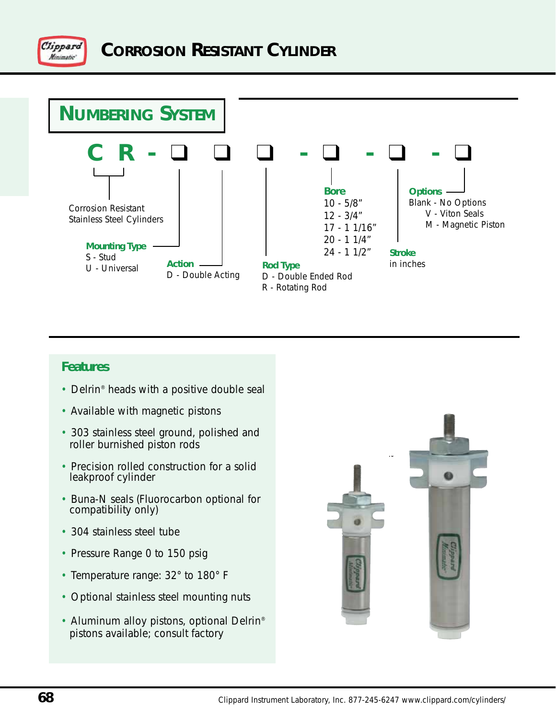



## **Features**

- Delrin<sup>®</sup> heads with a positive double seal
- Available with magnetic pistons
- 303 stainless steel ground, polished and roller burnished piston rods
- Precision rolled construction for a solid leakproof cylinder
- Buna-N seals (Fluorocarbon optional for compatibility only)
- 304 stainless steel tube
- Pressure Range 0 to 150 psig
- Temperature range: 32° to 180° F
- Optional stainless steel mounting nuts
- Aluminum alloy pistons, optional Delrin<sup>®</sup> pistons available; consult factory

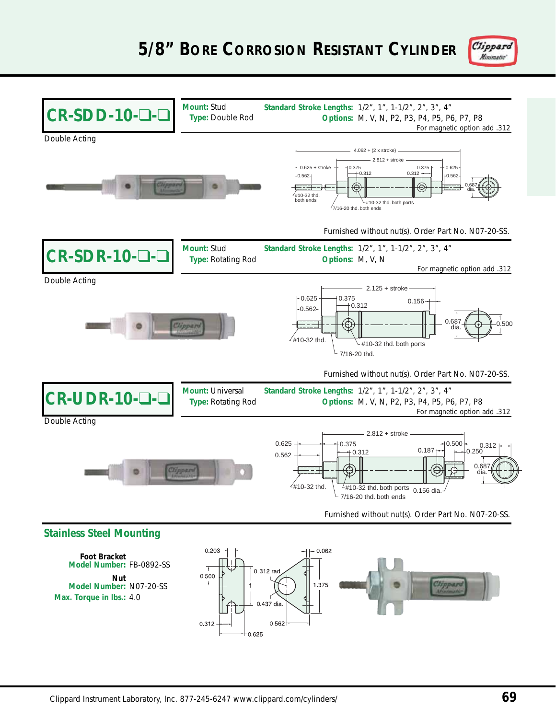

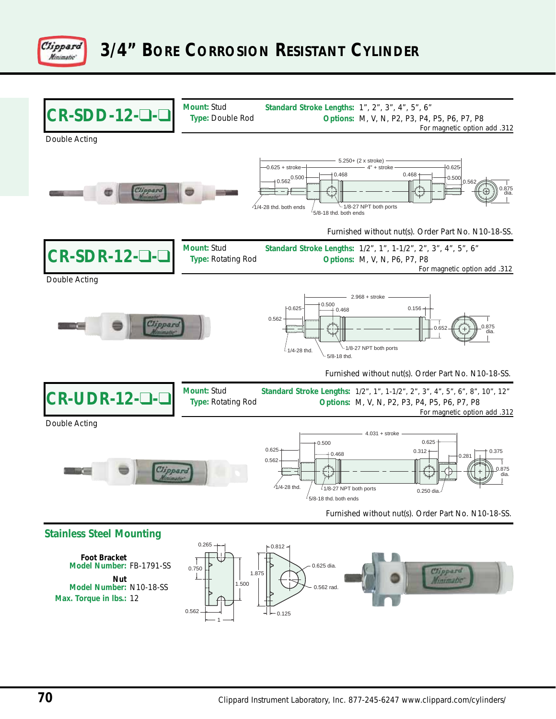

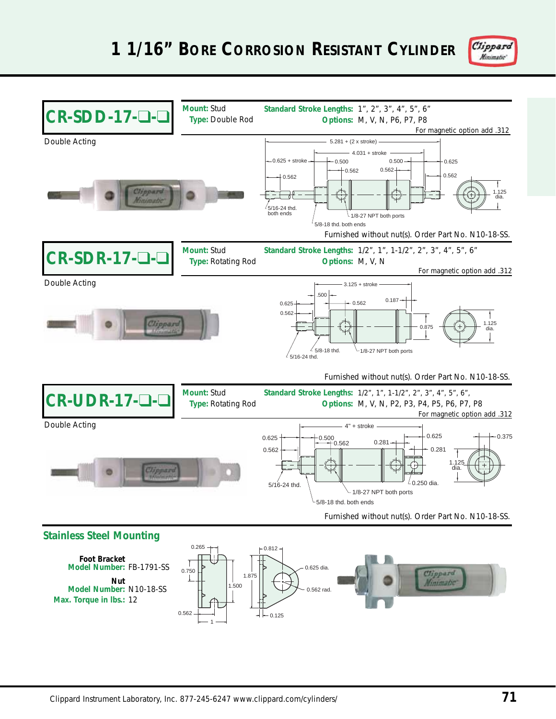

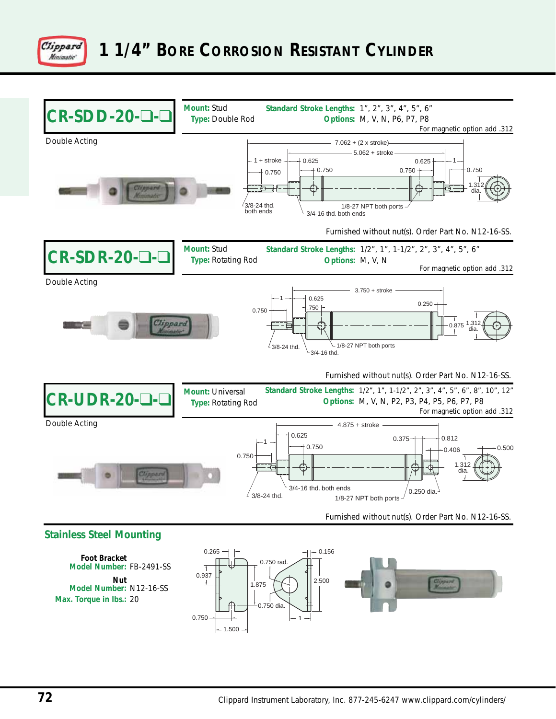

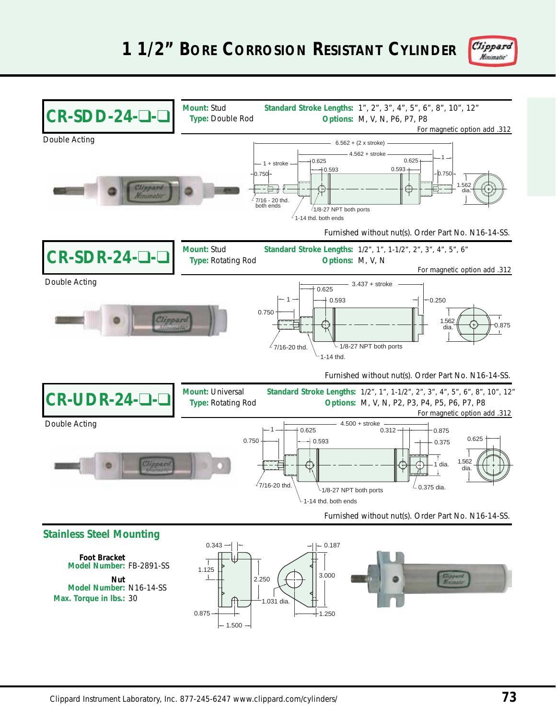